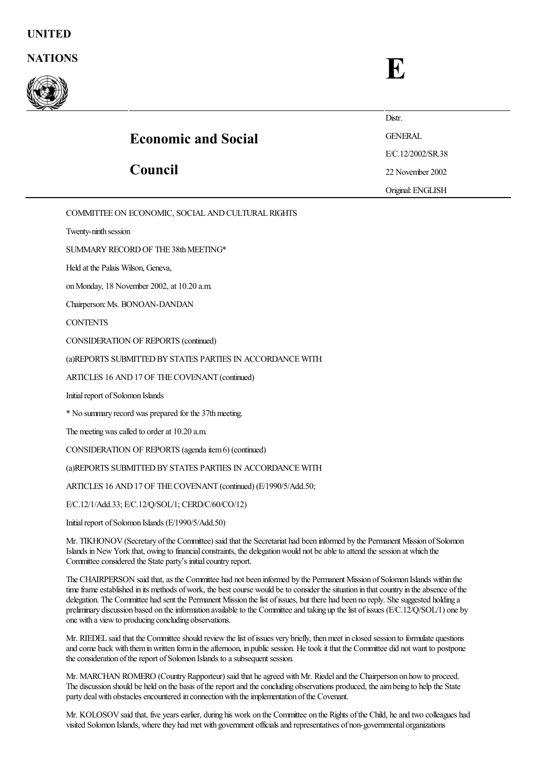

## Economic and Social Council **Distr.** GENERAL E/C.12/2002/SR.38 22 November 2002 Original:ENGLISH

COMMITTEE ON ECONOMIC, SOCIAL AND CULTURAL RIGHTS

Twenty-ninth session

SUMMARY RECORD OF THE 38th MEETING\*

Held at the Palais Wilson, Geneva,

on Monday, 18 November 2002, at 10.20 a.m.

Chairperson: Ms. BONOAN-DANDAN

**CONTENTS** 

CONSIDERATION OF REPORTS (continued)

(a)REPORTS SUBMITTED BY STATES PARTIES IN ACCORDANCE WITH

ARTICLES 16 AND17 OF THECOVENANT (continued)

Initial report of Solomon Islands

\* No summary record was prepared for the 37thmeeting.

The meeting was called to order at 10.20 a.m.

 $CONSIDERATION OF REPORTS (agenda item 6) (continued)$ 

(a)REPORTS SUBMITTED BY STATES PARTIES IN ACCORDANCE WITH

ARTICLES 16 AND 17 OF THE COVENANT (continued) (E/1990/5/Add.50;

E/C.12/1/Add.33; E/C.12/Q/SOL/1; CERD/C/60/CO/12)

Initial report of Solomon Islands (E/1990/5/Add.50)

Mr. TIKHONOV(Secretary ofthe Committee) said that the Secretariat had been informed by the Permanent Mission ofSolomon Islands in New York that, owing to financial constraints, the delegation would not be able to attend the session at which the Committee considered the State party's initial country report.

The CHAIRPERSON said that, as the Committee had not been informed by the Permanent Mission of Solomon Islands within the time frame established in its methods of work, the best course would be to consider the situation in that country in the absence of the delegation. The Committee had sent the Permanent Mission the list of issues, but there had been no reply. She suggested holding a preliminary discussion based on the information available to the Committee and taking up the list of issues (E/C.12/Q/SOL/1) one by one with a viewto producing concluding observations.

Mr. RIEDEL said that the Committee should review the list of issues very briefly, then meet in closed session to formulate questions and come back with them in written form in the afternoon, in public session. He took it that the Committee did not want to postpone the consideration of the report of Solomon Islands to a subsequent session.

Mr. MARCHAN ROMERO (Country Rapporteur) said that he agreed with Mr. Riedel and the Chairperson on how to proceed. The discussion should be held on the basis of the report and the concluding observations produced, the aim being to help the State party deal with obstacles encountered in connection with the implementation of the Covenant.

Mr. KOLOSOV said that, five years earlier, during his work on the Committee on the Rights of the Child, he and two colleagues had visited Solomon Islands, where they had met with government officials and representatives of non-governmental organizations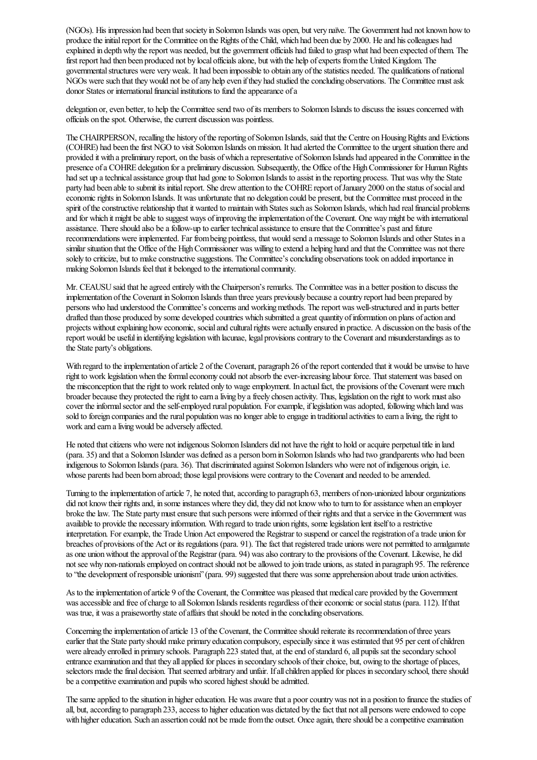(NGOs). His impression had been that society in Solomon Islands was open, but very naïve. The Government had not known how to produce the initial report for the Committee on the Rights of the Child, which had been due by 2000. He and his colleagues had explained in depth why the report was needed, but the government officials had failed to grasp what had been expected of them. The first report had then been produced not by local officials alone, but with the help of experts from the United Kingdom. The governmental structures were very weak. It had been impossible to obtain any of the statistics needed. The qualifications of national NGOs were such that they would not be of any help even if they had studied the concluding observations. The Committee must ask donor States or international financial institutions to fund the appearance of a

delegation or, even better, to help the Committee send two of its members to Solomon Islands to discuss the issues concerned with officials on the spot. Otherwise, the current discussion was pointless.

The CHAIRPERSON, recalling the history of the reporting of Solomon Islands, said that the Centre on Housing Rights and Evictions (COHRE) had been the first NGO to visit Solomon Islands on mission. It had alerted the Committee to the urgent situation there and provided it with a preliminary report, on the basis of which a representative of Solomon Islands had appeared in the Committee in the presence of a COHRE delegation for a preliminary discussion. Subsequently, the Office of the High Commissioner for Human Rights had set up a technical assistance group that had gone to Solomon Islands to assist in the reporting process. That was why the State party had been able to submit its initial report. She drew attention to the COHRE report of January 2000 on the status of social and economic rights in Solomon Islands. It was unfortunate that no delegation could be present, but the Committee must proceed in the spirit of the constructive relationship that it wanted to maintain with States such as Solomon Islands, which had real financial problems and for which it might be able to suggest ways of improving the implementation of the Covenant. One way might be with international assistance. There should also be a follow-up to earlier technical assistance to ensure that the Committee's past and future recommendations were implemented. Far from being pointless, that would send a message to Solomon Islands and other States in a similar situation that the Office of the High Commissioner was willing to extend a helping hand and that the Committee was not there solely to criticize, but to make constructive suggestions. The Committee's concluding observations took on added importance in making Solomon Islands feel that it belonged to the international community.

Mr. CEAUSU said that he agreed entirely with the Chairperson's remarks. The Committee was in a better position to discuss the implementation ofthe Covenant in Solomon Islands than three years previously becauseacountry report had been prepared by persons who had understood the Committee's concerns and working methods. The report was well-structured and in parts better drafted than those produced by some developed countries which submitted a great quantity ofinformation on plans ofaction and projects without explaining how economic, social and cultural rights were actually ensured in practice. A discussion on the basis of the report would be useful in identifying legislation with lacunae, legal provisions contrary to the Covenant and misunderstandings as to the State party's obligations.

With regard to the implementation of article 2 of the Covenant, paragraph 26 of the report contended that it would be unwise to have right to work legislation when the formal economy could not absorb the ever-increasing labour force. That statement was based on the misconception that the right to work related only to wage employment. In actual fact, the provisions of the Covenant were much broader becausethey protected theright to earn aliving by afreely chosen activity. Thus, legislation on theright to work mustalso cover the informal sector and the self-employed rural population. For example, if legislation was adopted, following which land was sold to foreign companies and the rural population was no longer able to engage in traditional activities to earn a living, the right to work and earn a living would be adversely affected.

He noted that citizens who were not indigenous Solomon Islanders did not have the right to hold or acquire perpetual title in land (para. 35) and that a Solomon Islander was defined as a person born in Solomon Islands who had two grandparents who had been indigenous to Solomon Islands (para. 36). That discriminated against Solomon Islanders who were not ofindigenous origin, i.e. whose parents had been born abroad; those legal provisions were contrary to the Covenant and needed to be amended.

Turning to the implementation of article 7, he noted that, according to paragraph 63, members of non-unionized labour organizations did not know their rights and, in some instances where they did, they did not know who to turn to for assistance when an employer broke the law. The State party must ensure that such persons were informed of their rights and that a service in the Government was available to provide the necessary information. With regard to trade union rights, some legislation lent itself to a restrictive interpretation. For example, the Trade Union Act empowered the Registrar to suspend or cancel the registration of a trade union for breaches of provisions of the Act or its regulations (para. 91). The fact that registered trade unions were not permitted to amalgamate as one union without the approval of the Registrar (para. 94) was also contrary to the provisions of the Covenant. Likewise, he did not see why non-nationals employed on contract should not be allowed to join trade unions, as stated in paragraph 95. The reference to "the development of responsible unionism" (para. 99) suggested that there was some apprehension about trade union activities.

As to the implementation of article 9 of the Covenant, the Committee was pleased that medical care provided by the Government was accessible and free of charge to all Solomon Islands residents regardless of their economic or social status (para. 112). If that was true, it was a praiseworthy state of affairs that should be noted in the concluding observations.

Concerning the implementation of article 13 of the Covenant, the Committee should reiterate its recommendation of three years earlier that the State party should make primary education compulsory, especially since it was estimated that 95 per cent of children were already enrolled in primary schools. Paragraph 223 stated that, at the end of standard 6, all pupils sat the secondary school entrance examination and that they all applied for places in secondary schools of their choice, but, owing to the shortage of places, selectors made the final decision. That seemed arbitrary and unfair. If all children applied for places in secondary school, there should be a competitive examination and pupils who scored highest should be admitted.

The same applied to the situation in higher education. He was aware that a poor country was not in a position to finance the studies of all, but, according to paragraph 233, access to higher education was dictated by the fact that not all persons were endowed to cope with higher education. Such an assertion could not be made from the outset. Once again, there should be a competitive examination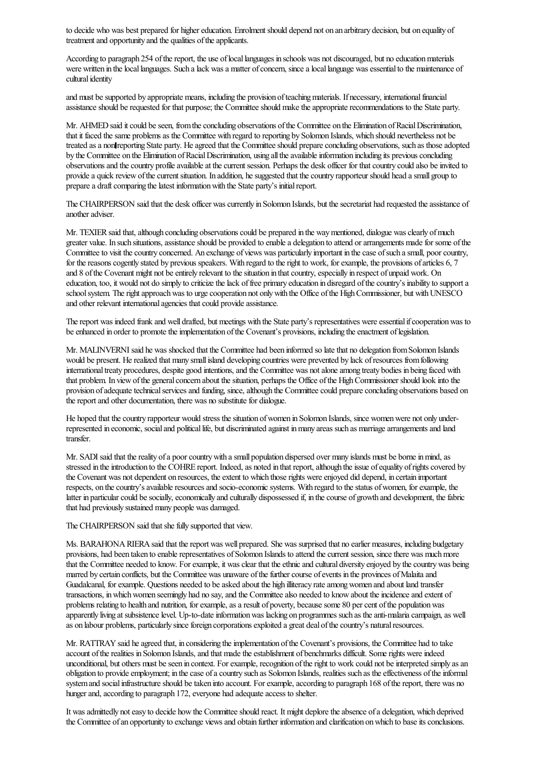to decide who was best prepared for higher education. Enrolment should depend not on an arbitrary decision, but on equality of treatment and opportunity and the qualities of the applicants.

According to paragraph 254 of the report, the use of local languages in schools was not discouraged, but no education materials were written in the local languages. Such a lack was a matter of concern, since a local language was essential to the maintenance of cultural identity

and must be supported by appropriate means, including the provision of teaching materials. If necessary, international financial assistance should be requested for that purpose; the Committee should make the appropriate recommendations to the State party.

Mr. AHMED said it could be seen, from the concluding observations of the Committee on the Elimination of Racial Discrimination. that it faced the same problems as the Committee with regard to reporting by Solomon Islands, which should nevertheless not be treated as a non reporting State party. He agreed that the Committee should prepare concluding observations, such as those adopted by the Committee on the Elimination of Racial Discrimination, using all the available information including its previous concluding observations and the country profile available at the current session. Perhaps the desk officer for that country could also be invited to provide a quick review of the current situation. In addition, he suggested that the country rapporteur should head a small group to prepare a draft comparing the latest information with the State party's initial report.

The CHAIRPERSON said that the desk officer was currently in Solomon Islands, but the secretariat had requested the assistance of another adviser.

Mr. TEXIER said that, although concluding observations could be prepared in the way mentioned, dialogue was clearly of much greater value. In such situations, assistance should be provided to enable a delegation to attend or arrangements made for some of the Committee to visit the country concerned. An exchange of views was particularly important in the case of such a small, poor country, for the reasons cogently stated by previous speakers. With regard to the right to work, for example, the provisions of articles 6, 7 and 8 of the Covenant might not be entirely relevant to the situation in that country, especially in respect of unpaid work. On education, too, it would not do simply to criticize the lack of free primary education in disregard of the country's inability to support a school system. The right approach was to urge cooperation not only with the Office of the High Commissioner, but with UNESCO and other relevant international agencies that could provide assistance.

The report was indeed frank and well drafted, but meetings with the State party's representatives were essential if cooperation was to be enhanced in order to promote the implementation of the Covenant's provisions, including the enactment of legislation.

Mr. MALINVERNI said he was shocked that the Committee had been informed so latethat no delegation fromSolomon Islands would be present. He realized that many small island developing countries were prevented by lack of resources from following international treaty procedures, despite good intentions, and the Committee was not alone among treaty bodies in being faced with that problem. In view of the general concern about the situation, perhaps the Office of the High Commissioner should look into the provision of adequate technical services and funding, since, although the Committee could prepare concluding observations based on the report and other documentation, there was no substitute for dialogue.

He hoped that the country rapporteur would stress the situation of women in Solomon Islands, since women were not only underrepresented in economic, social and political life, but discriminated against in many areas such as marriage arrangements and land transfer.

Mr. SADI said that the reality of a poor country with a small population dispersed over many islands must be borne in mind, as stressed in the introduction to the COHRE report. Indeed, as noted in that report, although the issue of equality of rights covered by the Covenant was not dependent on resources, the extent to which those rights were enjoyed did depend, in certain important respects, on the country's available resources and socio-economic systems. With regard to the status of women, for example, the latter in particular could be socially, economically and culturally dispossessed if, in the course of growth and development, the fabric that had previously sustained many people was damaged.

The CHAIRPERSON said that she fully supported that view.

Ms. BARAHONA RIERA said that the report was well prepared. She was surprised that no earlier measures, including budgetary provisions, had been taken to enable representatives of Solomon Islands to attend the current session, since there was much more that the Committee needed to know. Forexample, it wasclear that theethnicand cultural diversity enjoyed by thecountrywas being marred by certain conflicts, but the Committee was unaware of the further course of events in the provinces of Malaita and Guadalcanal, for example. Questions needed to be asked about the high illiteracy rate among women and about land transfer transactions, in which women seemingly had no say, and the Committee also needed to know about the incidence and extent of problems relating to health and nutrition, for example, as a result of poverty, because some 80 per cent of the population was apparently living at subsistence level. Up-to-date information was lacking on programmes such as the anti-malaria campaign, as well as on labour problems, particularly since foreign corporations exploited a great deal of the country's natural resources.

Mr. RATTRAY said he agreed that, in considering the implementation of the Covenant's provisions, the Committee had to take account of the realities in Solomon Islands, and that made the establishment of benchmarks difficult. Some rights were indeed unconditional, but others must be seen in context. For example, recognition of the right to work could not be interpreted simply as an obligation to provide employment; in the case of a country such as Solomon Islands, realities such as the effectiveness of the informal system and social infrastructure should be taken into account. For example, according to paragraph 168 of the report, there was no hunger and, according to paragraph 172, everyone had adequate access to shelter.

It was admittedly not easy to decide how the Committee should react. It might deplore the absence of a delegation, which deprived the Committee of an opportunity to exchange views and obtain further information and clarification on which to base its conclusions.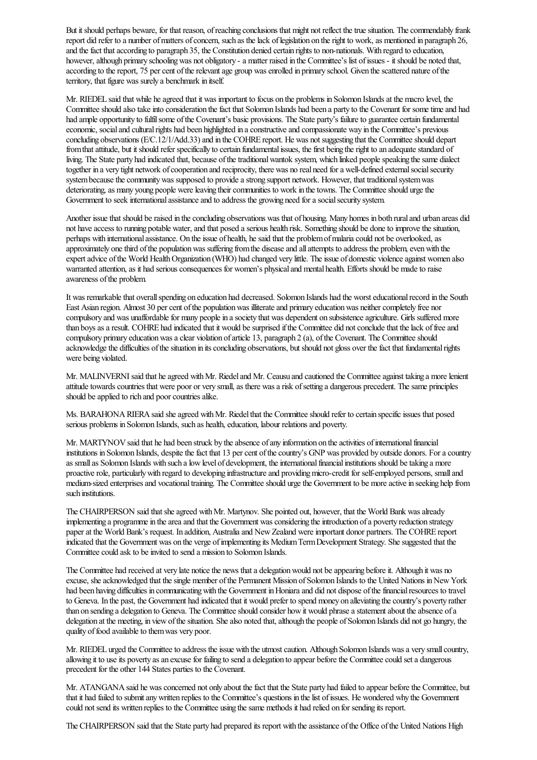But it should perhaps beware, for that reason, of reaching conclusions that might not reflect the true situation. The commendably frank report did refer to a number of matters of concern, such as the lack of legislation on the right to work, as mentioned in paragraph 26, and the fact that according to paragraph 35, the Constitution denied certain rights to non-nationals. With regard to education, however, although primary schooling was not obligatory - a matter raised in the Committee's list of issues - it should be noted that, according to the report, 75 per cent of the relevant age group was enrolled in primary school. Given the scattered nature of the territory, that figure was surely a benchmark in itself.

Mr. RIEDEL said that while heagreed that it was important to focus on the problems in Solomon Islandsat the macro level, the Committeeshould also takeinto consideration thefact that Solomon Islands had been a party to the Covenant for sometimeand had had ample opportunity to fulfil some of the Covenant's basic provisions. The State party's failure to guarantee certain fundamental economic, social and cultural rights had been highlighted in a constructive and compassionate way in the Committee's previous concluding observations (E/C.12/1/Add.33) and in the COHRE report. He was not suggesting that the Committee should depart from that attitude, but it should refer specifically to certain fundamental issues, the first being the right to an adequate standard of living. The State party had indicated that, because of the traditional wantok system, which linked people speaking the same dialect together in a very tight network of cooperation and reciprocity, there was no real need for a well-defined external social security system because the community was supposed to provide a strong support network. However, that traditional system was deteriorating, as many young people were leaving their communities to work in the towns. The Committee should urge the Government to seek international assistance and to address the growing need for a social security system.

Another issue that should be raised in the concluding observations was that of housing. Many homes in both rural and urban areas did not have access to running potable water, and that posed a serious health risk. Something should be done to improve the situation, perhaps with international assistance. On the issue of health, he said that the problem of malaria could not be overlooked, as approximately one third of the population was suffering from the disease and all attempts to address the problem, even with the expert advice of the World Health Organization (WHO) had changed very little. The issue of domestic violence against women also warranted attention, as it had serious consequences for women's physical and mental health. Efforts should be made to raise awareness of the problem.

It was remarkable that overall spending on education had decreased. Solomon Islands had the worst educational record in the South East Asian region. Almost 30 per cent of the population was illiterate and primary education was neither completely free nor compulsory and was unaffordable for many people in a society that was dependent on subsistence agriculture. Girls suffered more than boys as a result. COHRE had indicated that it would be surprised if the Committee did not conclude that the lack of free and compulsory primary education was a clear violation of article 13, paragraph 2 (a), of the Covenant. The Committee should acknowledge the difficulties of the situation in its concluding observations, but should not gloss over the fact that fundamental rights were being violated.

Mr. MALINVERNI said that he agreed with Mr. Riedel and Mr. Ceausu and cautioned the Committee against taking a more lenient attitude towards countries that were poor or very small, as there was a risk of setting a dangerous precedent. The same principles should be applied to rich and poor countries alike.

Ms. BARAHONA RIERA said she agreed with Mr. Riedel that the Committee should refer to certain specific issues that posed serious problems in Solomon Islands, such as health, education, labour relations and poverty.

Mr. MARTYNOV said that he had been struck by the absence of any information on the activities of international financial institutions in Solomon Islands, despite the fact that 13 per cent of the country's GNP was provided by outside donors. For a country as small as Solomon Islands with such a low level of development, the international financial institutions should be taking a more proactive role, particularly with regard to developing infrastructure and providing micro-credit for self-employed persons, small and medium-sized enterprises and vocational training. The Committee should urge the Government to be more active in seeking help from such institutions.

The CHAIRPERSON said that she agreed with Mr. Martynov. She pointed out, however, that the World Bank was already implementing a programme in the area and that the Government was considering the introduction of a poverty reduction strategy paperat the World Bank's request. In addition, Australiaand NewZealand wereimportant donor partners. The COHRE report indicated that the Government was on the verge ofimplementing its MediumTermDevelopment Strategy. Shesuggested that the Committee could ask to be invited to send a mission to Solomon Islands.

The Committee had received at very late notice the news that a delegation would not be appearing before it. Although it was no excuse, she acknowledged that the single member of the Permanent Mission of Solomon Islands to the United Nations in New York had been having difficulties in communicating with the Government in Honiara and did not dispose of the financial resources to travel to Geneva. In the past, the Government had indicated that it would prefer to spend money on alleviating the country's poverty rather than on sending a delegation to Geneva. The Committee should consider how it would phrase a statement about the absence of a delegation at the meeting, in view of the situation. She also noted that, although the people of Solomon Islands did not go hungry, the quality of food available to them was very poor.

Mr. RIEDEL urged the Committeeto address theissue with the utmostcaution. Although Solomon Islands wasa very smallcountry, allowing it to use its poverty as an excuse for failing to send a delegation to appear before the Committee could set a dangerous precedent for the other 144 States parties to the Covenant.

Mr. ATANGANA said he was concerned not only about the fact that the State party had failed to appear before the Committee, but that it had failed to submitanywritten replies to the Committee's questions in thelist ofissues. He wondered why the Government could notsend its written replies to the Committee using thesame methods it had relied on for sending its report.

The CHAIRPERSON said that the State party had prepared its report with the assistance of the Office of the United Nations High